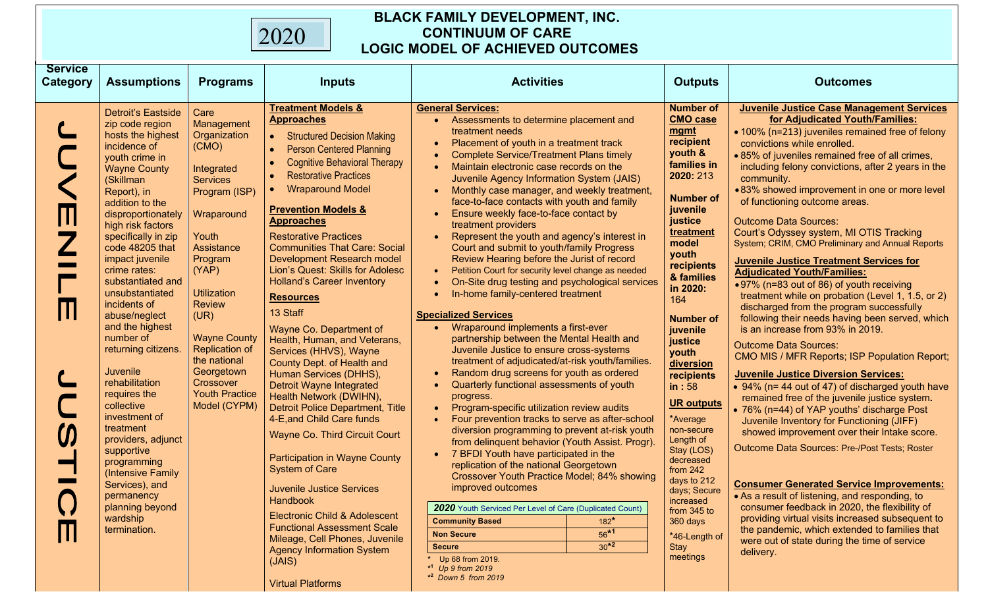## **BLACK FAMILY DEVELOPMENT, INC. CONTINUUM OF CARE LOGIC MODEL OF ACHIEVED OUTCOMES**

| <b>Service</b>  |                                                                                                                                                                                                                                                                                                                                                                                                                                                                                                                                                                                                                                                                             |                                                                                                                                                                                                                                                                                                                                           |                                                                                                                                                                                                                                                                                                                                                                                                                                                                                                                                                                                                                                                                                                                                                                                                                                                                                                                                                                                                                                                                                                |                                                                                                                                                                                                                                                                                                                                                                                                                                                                                                                                                                                                                                                                                                                                                                                                                                                                                                                                                                                                                                                                                                                                                                                                                                                                                                                                                                                                                                                                                                                                                                                                                                                                                       |                                                                                                                                                                                                                                                                                                                                                                                                                                                                                                                                          |                                                                                                                                                                                                                                                                                                                                                                                                                                                                                                                                                                                                                                                                                                                                                                                                                                                                                                                                                                                                                                                                                                                                                                                                                                                                                                                                                                                                                                                                                                                                                                                                   |
|-----------------|-----------------------------------------------------------------------------------------------------------------------------------------------------------------------------------------------------------------------------------------------------------------------------------------------------------------------------------------------------------------------------------------------------------------------------------------------------------------------------------------------------------------------------------------------------------------------------------------------------------------------------------------------------------------------------|-------------------------------------------------------------------------------------------------------------------------------------------------------------------------------------------------------------------------------------------------------------------------------------------------------------------------------------------|------------------------------------------------------------------------------------------------------------------------------------------------------------------------------------------------------------------------------------------------------------------------------------------------------------------------------------------------------------------------------------------------------------------------------------------------------------------------------------------------------------------------------------------------------------------------------------------------------------------------------------------------------------------------------------------------------------------------------------------------------------------------------------------------------------------------------------------------------------------------------------------------------------------------------------------------------------------------------------------------------------------------------------------------------------------------------------------------|---------------------------------------------------------------------------------------------------------------------------------------------------------------------------------------------------------------------------------------------------------------------------------------------------------------------------------------------------------------------------------------------------------------------------------------------------------------------------------------------------------------------------------------------------------------------------------------------------------------------------------------------------------------------------------------------------------------------------------------------------------------------------------------------------------------------------------------------------------------------------------------------------------------------------------------------------------------------------------------------------------------------------------------------------------------------------------------------------------------------------------------------------------------------------------------------------------------------------------------------------------------------------------------------------------------------------------------------------------------------------------------------------------------------------------------------------------------------------------------------------------------------------------------------------------------------------------------------------------------------------------------------------------------------------------------|------------------------------------------------------------------------------------------------------------------------------------------------------------------------------------------------------------------------------------------------------------------------------------------------------------------------------------------------------------------------------------------------------------------------------------------------------------------------------------------------------------------------------------------|---------------------------------------------------------------------------------------------------------------------------------------------------------------------------------------------------------------------------------------------------------------------------------------------------------------------------------------------------------------------------------------------------------------------------------------------------------------------------------------------------------------------------------------------------------------------------------------------------------------------------------------------------------------------------------------------------------------------------------------------------------------------------------------------------------------------------------------------------------------------------------------------------------------------------------------------------------------------------------------------------------------------------------------------------------------------------------------------------------------------------------------------------------------------------------------------------------------------------------------------------------------------------------------------------------------------------------------------------------------------------------------------------------------------------------------------------------------------------------------------------------------------------------------------------------------------------------------------------|
| <b>Category</b> | <b>Assumptions</b>                                                                                                                                                                                                                                                                                                                                                                                                                                                                                                                                                                                                                                                          | <b>Programs</b>                                                                                                                                                                                                                                                                                                                           | <b>Inputs</b>                                                                                                                                                                                                                                                                                                                                                                                                                                                                                                                                                                                                                                                                                                                                                                                                                                                                                                                                                                                                                                                                                  | <b>Activities</b>                                                                                                                                                                                                                                                                                                                                                                                                                                                                                                                                                                                                                                                                                                                                                                                                                                                                                                                                                                                                                                                                                                                                                                                                                                                                                                                                                                                                                                                                                                                                                                                                                                                                     | <b>Outputs</b>                                                                                                                                                                                                                                                                                                                                                                                                                                                                                                                           | <b>Outcomes</b>                                                                                                                                                                                                                                                                                                                                                                                                                                                                                                                                                                                                                                                                                                                                                                                                                                                                                                                                                                                                                                                                                                                                                                                                                                                                                                                                                                                                                                                                                                                                                                                   |
|                 | Detroit's Eastside<br>zip code region<br>hosts the highest<br>incidence of<br>youth crime in<br><b>Wayne County</b><br>(Skillman<br>Report), in<br>addition to the<br>disproportionately<br>high risk factors<br>specifically in zip<br>code 48205 that<br>impact juvenile<br>crime rates:<br>substantiated and<br>unsubstantiated<br>incidents of<br>abuse/neglect<br>and the highest<br>number of<br>returning citizens.<br>Juvenile<br>rehabilitation<br>requires the<br>collective<br>investment of<br>treatment<br>providers, adjunct<br>supportive<br>programming<br>(Intensive Family<br>Services), and<br>permanency<br>planning beyond<br>wardship<br>termination. | Care<br>Management<br>Organization<br>(CMO)<br>Integrated<br><b>Services</b><br>Program (ISP)<br>Wraparound<br>Youth<br>Assistance<br>Program<br>(YAP)<br><b>Utilization</b><br><b>Review</b><br>(UR)<br><b>Wayne County</b><br><b>Replication of</b><br>the national<br>Georgetown<br>Crossover<br><b>Youth Practice</b><br>Model (CYPM) | <b>Treatment Models &amp;</b><br><b>Approaches</b><br><b>Structured Decision Making</b><br><b>Person Centered Planning</b><br><b>Cognitive Behavioral Therapy</b><br><b>Restorative Practices</b><br><b>Wraparound Model</b><br><b>Prevention Models &amp;</b><br><b>Approaches</b><br><b>Restorative Practices</b><br><b>Communities That Care: Social</b><br>Development Research model<br>Lion's Quest: Skills for Adolesc<br><b>Holland's Career Inventory</b><br><b>Resources</b><br>13 Staff<br>Wayne Co. Department of<br>Health, Human, and Veterans,<br>Services (HHVS), Wayne<br>County Dept. of Health and<br>Human Services (DHHS),<br><b>Detroit Wayne Integrated</b><br>Health Network (DWIHN),<br>Detroit Police Department, Title<br>4-E, and Child Care funds<br><b>Wayne Co. Third Circuit Court</b><br><b>Participation in Wayne County</b><br><b>System of Care</b><br><b>Juvenile Justice Services</b><br>Handbook<br>Electronic Child & Adolescent<br><b>Functional Assessment Scale</b><br>Mileage, Cell Phones, Juvenile<br><b>Agency Information System</b><br>(JAIS) | <b>General Services:</b><br>Assessments to determine placement and<br>treatment needs<br>Placement of youth in a treatment track<br><b>Complete Service/Treatment Plans timely</b><br>Maintain electronic case records on the<br>Juvenile Agency Information System (JAIS)<br>Monthly case manager, and weekly treatment,<br>face-to-face contacts with youth and family<br>Ensure weekly face-to-face contact by<br>treatment providers<br>Represent the youth and agency's interest in<br>Court and submit to youth/family Progress<br>Review Hearing before the Jurist of record<br>Petition Court for security level change as needed<br>$\bullet$<br>On-Site drug testing and psychological services<br>$\bullet$<br>In-home family-centered treatment<br>$\bullet$<br><b>Specialized Services</b><br>Wraparound implements a first-ever<br>partnership between the Mental Health and<br>Juvenile Justice to ensure cross-systems<br>treatment of adjudicated/at-risk youth/families.<br>Random drug screens for youth as ordered<br>$\bullet$<br>Quarterly functional assessments of youth<br>$\bullet$<br>progress.<br>Program-specific utilization review audits<br>$\bullet$<br>Four prevention tracks to serve as after-school<br>diversion programming to prevent at-risk youth<br>from delinquent behavior (Youth Assist. Progr).<br>7 BFDI Youth have participated in the<br>replication of the national Georgetown<br>Crossover Youth Practice Model; 84% showing<br>improved outcomes<br>2020 Youth Serviced Per Level of Care (Duplicated Count)<br><b>Community Based</b><br>$182*$<br>$56*1$<br><b>Non Secure</b><br>$30^{*2}$<br><b>Secure</b><br>Up 68 from 2019. | <b>Number of</b><br><b>CMO case</b><br>mgmt<br>recipient<br>youth &<br>families in<br>2020: 213<br><b>Number of</b><br>juvenile<br>justice<br>treatment<br>model<br>youth<br>recipients<br>& families<br>in 2020:<br>164<br><b>Number of</b><br>juvenile<br>justice<br>youth<br>diversion<br>recipients<br>in:58<br><b>UR outputs</b><br>*Average<br>non-secure<br>Length of<br>Stay (LOS)<br>decreased<br>from $242$<br>days to 212<br>days; Secure<br>increased<br>from 345 to<br>360 days<br>*46-Length of<br><b>Stay</b><br>meetings | <b>Juvenile Justice Case Management Services</b><br>for Adjudicated Youth/Families:<br>• 100% (n=213) juveniles remained free of felony<br>convictions while enrolled.<br>.85% of juveniles remained free of all crimes,<br>including felony convictions, after 2 years in the<br>community.<br>.83% showed improvement in one or more level<br>of functioning outcome areas.<br><b>Outcome Data Sources:</b><br>Court's Odyssey system, MI OTIS Tracking<br>System; CRIM, CMO Preliminary and Annual Reports<br><b>Juvenile Justice Treatment Services for</b><br><b>Adjudicated Youth/Families:</b><br>•97% (n=83 out of 86) of youth receiving<br>treatment while on probation (Level 1, 1.5, or 2)<br>discharged from the program successfully<br>following their needs having been served, which<br>is an increase from 93% in 2019.<br><b>Outcome Data Sources:</b><br>CMO MIS / MFR Reports; ISP Population Report;<br><b>Juvenile Justice Diversion Services:</b><br>• 94% (n= 44 out of 47) of discharged youth have<br>remained free of the juvenile justice system.<br>• 76% (n=44) of YAP youths' discharge Post<br>Juvenile Inventory for Functioning (JIFF)<br>showed improvement over their Intake score.<br>Outcome Data Sources: Pre-/Post Tests; Roster<br><b>Consumer Generated Service Improvements:</b><br>• As a result of listening, and responding, to<br>consumer feedback in 2020, the flexibility of<br>providing virtual visits increased subsequent to<br>the pandemic, which extended to families that<br>were out of state during the time of service<br>delivery. |
|                 |                                                                                                                                                                                                                                                                                                                                                                                                                                                                                                                                                                                                                                                                             |                                                                                                                                                                                                                                                                                                                                           | <b>Virtual Platforms</b>                                                                                                                                                                                                                                                                                                                                                                                                                                                                                                                                                                                                                                                                                                                                                                                                                                                                                                                                                                                                                                                                       | $*1$ Up 9 from 2019<br>* <sup>2</sup> Down 5 from 2019                                                                                                                                                                                                                                                                                                                                                                                                                                                                                                                                                                                                                                                                                                                                                                                                                                                                                                                                                                                                                                                                                                                                                                                                                                                                                                                                                                                                                                                                                                                                                                                                                                |                                                                                                                                                                                                                                                                                                                                                                                                                                                                                                                                          |                                                                                                                                                                                                                                                                                                                                                                                                                                                                                                                                                                                                                                                                                                                                                                                                                                                                                                                                                                                                                                                                                                                                                                                                                                                                                                                                                                                                                                                                                                                                                                                                   |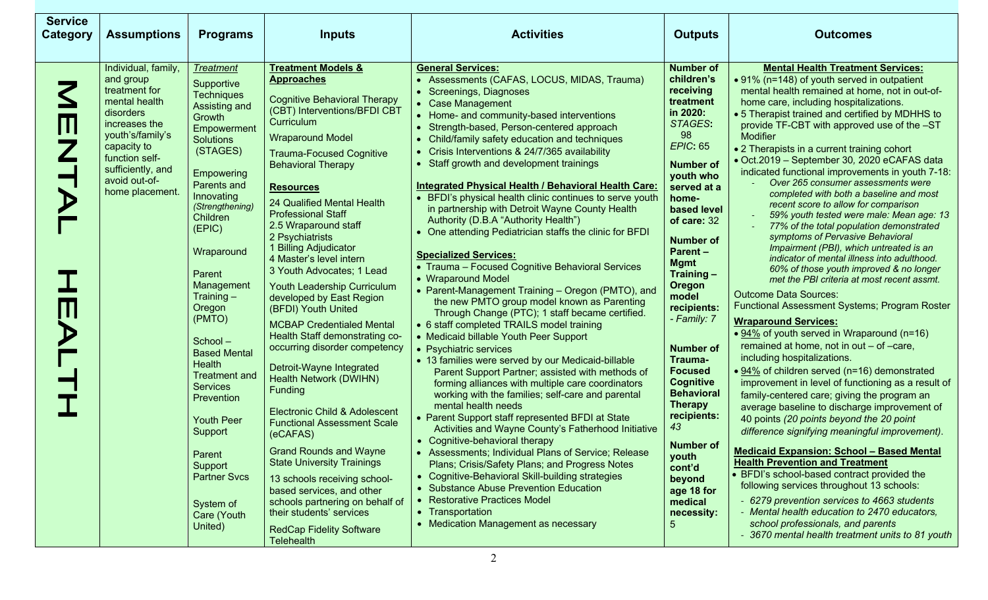| <b>Service</b><br><b>Category</b> | <b>Assumptions</b>                                                                                                                                                                                             | <b>Programs</b>                                                                                                                                                                                                                                                                                                                                                                                                                                                                                                     | <b>Inputs</b>                                                                                                                                                                                                                                                                                                                                                                                                                                                                                                                                                                                                                                                                                                                                                                                                                                                                                                                                                                                                                                                                 | <b>Activities</b>                                                                                                                                                                                                                                                                                                                                                                                                                                                                                                                                                                                                                                                                                                                                                                                                                                                                                                                                                                                                                                                                                                                                                                                                                                                                                                                                                                                                                                                                                                                                                                                                                                                                                               | <b>Outputs</b>                                                                                                                                                                                                                                                                                                                                                                                                                                                                                                                                      | <b>Outcomes</b>                                                                                                                                                                                                                                                                                                                                                                                                                                                                                                                                                                                                                                                                                                                                                                                                                                                                                                                                                                                                                                                                                                                                                                                                                                                                                                                                                                                                                                                                                                                                                                                                                                                                                                                                                                                                                  |
|-----------------------------------|----------------------------------------------------------------------------------------------------------------------------------------------------------------------------------------------------------------|---------------------------------------------------------------------------------------------------------------------------------------------------------------------------------------------------------------------------------------------------------------------------------------------------------------------------------------------------------------------------------------------------------------------------------------------------------------------------------------------------------------------|-------------------------------------------------------------------------------------------------------------------------------------------------------------------------------------------------------------------------------------------------------------------------------------------------------------------------------------------------------------------------------------------------------------------------------------------------------------------------------------------------------------------------------------------------------------------------------------------------------------------------------------------------------------------------------------------------------------------------------------------------------------------------------------------------------------------------------------------------------------------------------------------------------------------------------------------------------------------------------------------------------------------------------------------------------------------------------|-----------------------------------------------------------------------------------------------------------------------------------------------------------------------------------------------------------------------------------------------------------------------------------------------------------------------------------------------------------------------------------------------------------------------------------------------------------------------------------------------------------------------------------------------------------------------------------------------------------------------------------------------------------------------------------------------------------------------------------------------------------------------------------------------------------------------------------------------------------------------------------------------------------------------------------------------------------------------------------------------------------------------------------------------------------------------------------------------------------------------------------------------------------------------------------------------------------------------------------------------------------------------------------------------------------------------------------------------------------------------------------------------------------------------------------------------------------------------------------------------------------------------------------------------------------------------------------------------------------------------------------------------------------------------------------------------------------------|-----------------------------------------------------------------------------------------------------------------------------------------------------------------------------------------------------------------------------------------------------------------------------------------------------------------------------------------------------------------------------------------------------------------------------------------------------------------------------------------------------------------------------------------------------|----------------------------------------------------------------------------------------------------------------------------------------------------------------------------------------------------------------------------------------------------------------------------------------------------------------------------------------------------------------------------------------------------------------------------------------------------------------------------------------------------------------------------------------------------------------------------------------------------------------------------------------------------------------------------------------------------------------------------------------------------------------------------------------------------------------------------------------------------------------------------------------------------------------------------------------------------------------------------------------------------------------------------------------------------------------------------------------------------------------------------------------------------------------------------------------------------------------------------------------------------------------------------------------------------------------------------------------------------------------------------------------------------------------------------------------------------------------------------------------------------------------------------------------------------------------------------------------------------------------------------------------------------------------------------------------------------------------------------------------------------------------------------------------------------------------------------------|
| Ш                                 | Individual, family,<br>and group<br>treatment for<br>mental health<br>disorders<br>increases the<br>youth's/family's<br>capacity to<br>function self-<br>sufficiently, and<br>avoid out-of-<br>home placement. | <b>Treatment</b><br>Supportive<br><b>Techniques</b><br>Assisting and<br>Growth<br>Empowerment<br><b>Solutions</b><br>(STAGES)<br>Empowering<br>Parents and<br>Innovating<br>(Strengthening)<br>Children<br>(EPIC)<br>Wraparound<br>Parent<br>Management<br>Training $-$<br>Oregon<br>(PMTO)<br>School-<br><b>Based Mental</b><br>Health<br><b>Treatment and</b><br><b>Services</b><br>Prevention<br><b>Youth Peer</b><br>Support<br>Parent<br>Support<br><b>Partner Svcs</b><br>System of<br>Care (Youth<br>United) | <u><b>Treatment Models &amp;</b></u><br><b>Approaches</b><br><b>Cognitive Behavioral Therapy</b><br>(CBT) Interventions/BFDI CBT<br>Curriculum<br><b>Wraparound Model</b><br><b>Trauma-Focused Cognitive</b><br><b>Behavioral Therapy</b><br><b>Resources</b><br>24 Qualified Mental Health<br><b>Professional Staff</b><br>2.5 Wraparound staff<br>2 Psychiatrists<br>1 Billing Adjudicator<br>4 Master's level intern<br>3 Youth Advocates; 1 Lead<br>Youth Leadership Curriculum<br>developed by East Region<br>(BFDI) Youth United<br><b>MCBAP Credentialed Mental</b><br>Health Staff demonstrating co-<br>occurring disorder competency<br>Detroit-Wayne Integrated<br><b>Health Network (DWIHN)</b><br>Funding<br><b>Electronic Child &amp; Adolescent</b><br><b>Functional Assessment Scale</b><br>(eCAFAS)<br><b>Grand Rounds and Wayne</b><br><b>State University Trainings</b><br>13 schools receiving school-<br>based services, and other<br>schools partnering on behalf of<br>their students' services<br><b>RedCap Fidelity Software</b><br><b>Telehealth</b> | <b>General Services:</b><br>Assessments (CAFAS, LOCUS, MIDAS, Trauma)<br>Screenings, Diagnoses<br>• Case Management<br>• Home- and community-based interventions<br>Strength-based, Person-centered approach<br>Child/family safety education and techniques<br>Crisis Interventions & 24/7/365 availability<br>Staff growth and development trainings<br><b>Integrated Physical Health / Behavioral Health Care:</b><br>BFDI's physical health clinic continues to serve youth<br>in partnership with Detroit Wayne County Health<br>Authority (D.B.A "Authority Health")<br>One attending Pediatrician staffs the clinic for BFDI<br><b>Specialized Services:</b><br>• Trauma - Focused Cognitive Behavioral Services<br>• Wraparound Model<br>• Parent-Management Training - Oregon (PMTO), and<br>the new PMTO group model known as Parenting<br>Through Change (PTC); 1 staff became certified.<br>• 6 staff completed TRAILS model training<br>• Medicaid billable Youth Peer Support<br>• Psychiatric services<br>• 13 families were served by our Medicaid-billable<br>Parent Support Partner; assisted with methods of<br>forming alliances with multiple care coordinators<br>working with the families; self-care and parental<br>mental health needs<br>• Parent Support staff represented BFDI at State<br>Activities and Wayne County's Fatherhood Initiative<br>• Cognitive-behavioral therapy<br>• Assessments; Individual Plans of Service; Release<br>Plans; Crisis/Safety Plans; and Progress Notes<br>Cognitive-Behavioral Skill-building strategies<br>• Substance Abuse Prevention Education<br>• Restorative Practices Model<br>• Transportation<br>• Medication Management as necessary | <b>Number of</b><br>children's<br>receiving<br>treatment<br>in 2020:<br>STAGES:<br>98<br><b>EPIC: 65</b><br><b>Number of</b><br>youth who<br>served at a<br>home-<br>based level<br>of care: 32<br><b>Number of</b><br><b>Parent-</b><br><b>Mgmt</b><br>Training $-$<br>Oregon<br>model<br>recipients:<br>- Family: 7<br><b>Number of</b><br>Trauma-<br><b>Focused</b><br><b>Cognitive</b><br><b>Behavioral</b><br><b>Therapy</b><br>recipients:<br>43<br><b>Number of</b><br>youth<br>cont'd<br>beyond<br>age 18 for<br>medical<br>necessity:<br>5 | <b>Mental Health Treatment Services:</b><br>• 91% (n=148) of youth served in outpatient<br>mental health remained at home, not in out-of-<br>home care, including hospitalizations.<br>• 5 Therapist trained and certified by MDHHS to<br>provide TF-CBT with approved use of the -ST<br>Modifier<br>• 2 Therapists in a current training cohort<br>· Oct.2019 - September 30, 2020 eCAFAS data<br>indicated functional improvements in youth 7-18:<br>Over 265 consumer assessments were<br>completed with both a baseline and most<br>recent score to allow for comparison<br>59% youth tested were male: Mean age: 13<br>77% of the total population demonstrated<br>symptoms of Pervasive Behavioral<br>Impairment (PBI), which untreated is an<br>indicator of mental illness into adulthood.<br>60% of those youth improved & no longer<br>met the PBI criteria at most recent assmt.<br><b>Outcome Data Sources:</b><br><b>Functional Assessment Systems; Program Roster</b><br><b>Wraparound Services:</b><br>• 94% of youth served in Wraparound (n=16)<br>remained at home, not in out - of -care,<br>including hospitalizations.<br>● 94% of children served (n=16) demonstrated<br>improvement in level of functioning as a result of<br>family-centered care; giving the program an<br>average baseline to discharge improvement of<br>40 points (20 points beyond the 20 point<br>difference signifying meaningful improvement).<br><b>Medicaid Expansion: School - Based Mental</b><br><b>Health Prevention and Treatment</b><br>• BFDI's school-based contract provided the<br>following services throughout 13 schools:<br>- 6279 prevention services to 4663 students<br>- Mental health education to 2470 educators.<br>school professionals, and parents<br>- 3670 mental health treatment units to 81 youth |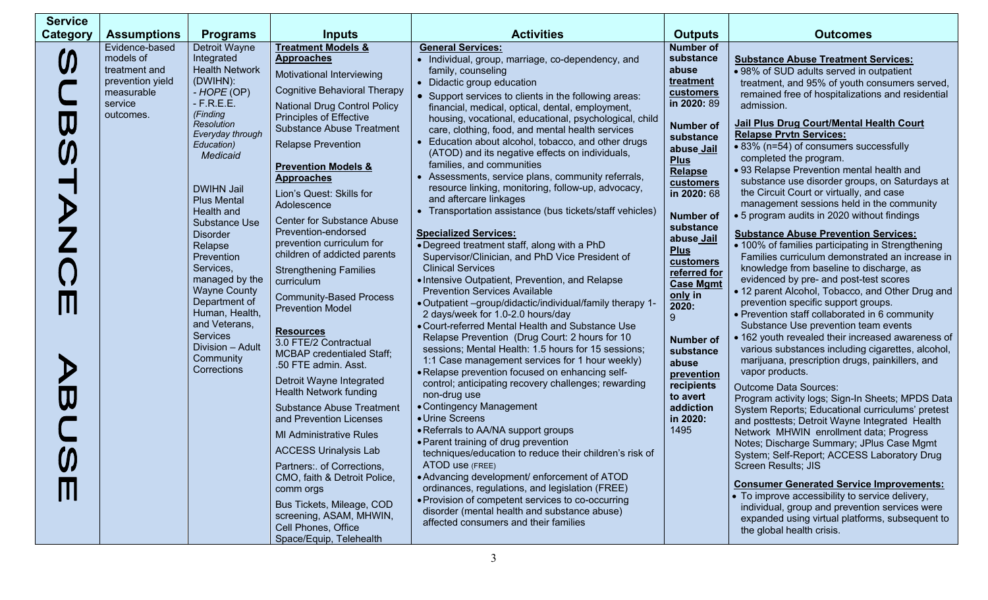| <b>Service</b> |                                                                                                        |                                                                                                                                                                                                                                                                                                                                                                                                                                                                                         |                                                                                                                                                                                                                                                                                                                                                                                                                                                                                                                                                                                                                                                                                                                                                                                                                                                                                                                                                                                                                                                                                                    |                                                                                                                                                                                                                                                                                                                                                                                                                                                                                                                                                                                                                                                                                                                                                                                                                                                                                                                                                                                                                                                                                                                                                                                                                                                                                                                                                                                                                                                                                                                                                                                                                                                                                                                                                                                                                                                                        |                                                                                                                                                                                                                                                                                                                                                                                                                                                 |                                                                                                                                                                                                                                                                                                                                                                                                                                                                                                                                                                                                                                                                                                                                                                                                                                                                                                                                                                                                                                                                                                                                                                                                                                                                                                                                                                                                                                                                                                                                                                                                                                                                                                                                                                                                                              |
|----------------|--------------------------------------------------------------------------------------------------------|-----------------------------------------------------------------------------------------------------------------------------------------------------------------------------------------------------------------------------------------------------------------------------------------------------------------------------------------------------------------------------------------------------------------------------------------------------------------------------------------|----------------------------------------------------------------------------------------------------------------------------------------------------------------------------------------------------------------------------------------------------------------------------------------------------------------------------------------------------------------------------------------------------------------------------------------------------------------------------------------------------------------------------------------------------------------------------------------------------------------------------------------------------------------------------------------------------------------------------------------------------------------------------------------------------------------------------------------------------------------------------------------------------------------------------------------------------------------------------------------------------------------------------------------------------------------------------------------------------|------------------------------------------------------------------------------------------------------------------------------------------------------------------------------------------------------------------------------------------------------------------------------------------------------------------------------------------------------------------------------------------------------------------------------------------------------------------------------------------------------------------------------------------------------------------------------------------------------------------------------------------------------------------------------------------------------------------------------------------------------------------------------------------------------------------------------------------------------------------------------------------------------------------------------------------------------------------------------------------------------------------------------------------------------------------------------------------------------------------------------------------------------------------------------------------------------------------------------------------------------------------------------------------------------------------------------------------------------------------------------------------------------------------------------------------------------------------------------------------------------------------------------------------------------------------------------------------------------------------------------------------------------------------------------------------------------------------------------------------------------------------------------------------------------------------------------------------------------------------------|-------------------------------------------------------------------------------------------------------------------------------------------------------------------------------------------------------------------------------------------------------------------------------------------------------------------------------------------------------------------------------------------------------------------------------------------------|------------------------------------------------------------------------------------------------------------------------------------------------------------------------------------------------------------------------------------------------------------------------------------------------------------------------------------------------------------------------------------------------------------------------------------------------------------------------------------------------------------------------------------------------------------------------------------------------------------------------------------------------------------------------------------------------------------------------------------------------------------------------------------------------------------------------------------------------------------------------------------------------------------------------------------------------------------------------------------------------------------------------------------------------------------------------------------------------------------------------------------------------------------------------------------------------------------------------------------------------------------------------------------------------------------------------------------------------------------------------------------------------------------------------------------------------------------------------------------------------------------------------------------------------------------------------------------------------------------------------------------------------------------------------------------------------------------------------------------------------------------------------------------------------------------------------------|
| Category       | <b>Assumptions</b>                                                                                     | <b>Programs</b>                                                                                                                                                                                                                                                                                                                                                                                                                                                                         | <b>Inputs</b>                                                                                                                                                                                                                                                                                                                                                                                                                                                                                                                                                                                                                                                                                                                                                                                                                                                                                                                                                                                                                                                                                      | <b>Activities</b>                                                                                                                                                                                                                                                                                                                                                                                                                                                                                                                                                                                                                                                                                                                                                                                                                                                                                                                                                                                                                                                                                                                                                                                                                                                                                                                                                                                                                                                                                                                                                                                                                                                                                                                                                                                                                                                      | <b>Outputs</b>                                                                                                                                                                                                                                                                                                                                                                                                                                  | <b>Outcomes</b>                                                                                                                                                                                                                                                                                                                                                                                                                                                                                                                                                                                                                                                                                                                                                                                                                                                                                                                                                                                                                                                                                                                                                                                                                                                                                                                                                                                                                                                                                                                                                                                                                                                                                                                                                                                                              |
|                | Evidence-based<br>models of<br>treatment and<br>prevention yield<br>measurable<br>service<br>outcomes. | Detroit Wayne<br>Integrated<br><b>Health Network</b><br>(DWIHN):<br>- HOPE (OP)<br>$-F.R.E.E.$<br>(Finding<br><b>Resolution</b><br>Everyday through<br>Education)<br>Medicaid<br><b>DWIHN Jail</b><br><b>Plus Mental</b><br>Health and<br><b>Substance Use</b><br><b>Disorder</b><br>Relapse<br>Prevention<br>Services,<br>managed by the<br><b>Wayne County</b><br>Department of<br>Human, Health,<br>and Veterans,<br><b>Services</b><br>Division - Adult<br>Community<br>Corrections | <b>Treatment Models &amp;</b><br><b>Approaches</b><br>Motivational Interviewing<br><b>Cognitive Behavioral Therapy</b><br><b>National Drug Control Policy</b><br><b>Principles of Effective</b><br><b>Substance Abuse Treatment</b><br><b>Relapse Prevention</b><br><b>Prevention Models &amp;</b><br><b>Approaches</b><br>Lion's Quest: Skills for<br>Adolescence<br><b>Center for Substance Abuse</b><br>Prevention-endorsed<br>prevention curriculum for<br>children of addicted parents<br><b>Strengthening Families</b><br>curriculum<br><b>Community-Based Process</b><br><b>Prevention Model</b><br><b>Resources</b><br>3.0 FTE/2 Contractual<br><b>MCBAP</b> credentialed Staff;<br>.50 FTE admin. Asst.<br>Detroit Wayne Integrated<br><b>Health Network funding</b><br><b>Substance Abuse Treatment</b><br>and Prevention Licenses<br><b>MI Administrative Rules</b><br><b>ACCESS Urinalysis Lab</b><br>Partners: of Corrections,<br>CMO, faith & Detroit Police,<br>comm orgs<br>Bus Tickets, Mileage, COD<br>screening, ASAM, MHWIN,<br>Cell Phones, Office<br>Space/Equip, Telehealth | <b>General Services:</b><br>• Individual, group, marriage, co-dependency, and<br>family, counseling<br>• Didactic group education<br>• Support services to clients in the following areas:<br>financial, medical, optical, dental, employment,<br>housing, vocational, educational, psychological, child<br>care, clothing, food, and mental health services<br>Education about alcohol, tobacco, and other drugs<br>(ATOD) and its negative effects on individuals,<br>families, and communities<br>• Assessments, service plans, community referrals,<br>resource linking, monitoring, follow-up, advocacy,<br>and aftercare linkages<br>• Transportation assistance (bus tickets/staff vehicles)<br><b>Specialized Services:</b><br>• Degreed treatment staff, along with a PhD<br>Supervisor/Clinician, and PhD Vice President of<br><b>Clinical Services</b><br>• Intensive Outpatient, Prevention, and Relapse<br><b>Prevention Services Available</b><br>• Outpatient -group/didactic/individual/family therapy 1-<br>2 days/week for 1.0-2.0 hours/day<br>• Court-referred Mental Health and Substance Use<br>Relapse Prevention (Drug Court: 2 hours for 10<br>sessions; Mental Health: 1.5 hours for 15 sessions;<br>1:1 Case management services for 1 hour weekly)<br>• Relapse prevention focused on enhancing self-<br>control; anticipating recovery challenges; rewarding<br>non-drug use<br>• Contingency Management<br>• Urine Screens<br>• Referrals to AA/NA support groups<br>• Parent training of drug prevention<br>techniques/education to reduce their children's risk of<br>ATOD use (FREE)<br>• Advancing development/ enforcement of ATOD<br>ordinances, regulations, and legislation (FREE)<br>• Provision of competent services to co-occurring<br>disorder (mental health and substance abuse)<br>affected consumers and their families | <b>Number of</b><br>substance<br>abuse<br>treatment<br>customers<br>in 2020: 89<br>Number of<br>substance<br>abuse Jail<br><b>Plus</b><br><b>Relapse</b><br>customers<br>in 2020: 68<br><b>Number of</b><br>substance<br>abuse Jail<br><b>Plus</b><br>customers<br>referred for<br><b>Case Mgmt</b><br>only in<br>2020:<br>9<br><b>Number of</b><br>substance<br>abuse<br>prevention<br>recipients<br>to avert<br>addiction<br>in 2020:<br>1495 | <b>Substance Abuse Treatment Services:</b><br>• 98% of SUD adults served in outpatient<br>treatment, and 95% of youth consumers served,<br>remained free of hospitalizations and residential<br>admission.<br>Jail Plus Drug Court/Mental Health Court<br><b>Relapse Prvtn Services:</b><br>• 83% (n=54) of consumers successfully<br>completed the program.<br>• 93 Relapse Prevention mental health and<br>substance use disorder groups, on Saturdays at<br>the Circuit Court or virtually, and case<br>management sessions held in the community<br>• 5 program audits in 2020 without findings<br><b>Substance Abuse Prevention Services:</b><br>• 100% of families participating in Strengthening<br>Families curriculum demonstrated an increase in<br>knowledge from baseline to discharge, as<br>evidenced by pre- and post-test scores<br>• 12 parent Alcohol, Tobacco, and Other Drug and<br>prevention specific support groups.<br>• Prevention staff collaborated in 6 community<br>Substance Use prevention team events<br>• 162 youth revealed their increased awareness of<br>various substances including cigarettes, alcohol,<br>marijuana, prescription drugs, painkillers, and<br>vapor products.<br><b>Outcome Data Sources:</b><br>Program activity logs; Sign-In Sheets; MPDS Data<br>System Reports; Educational curriculums' pretest<br>and posttests; Detroit Wayne Integrated Health<br>Network MHWIN enrollment data; Progress<br>Notes; Discharge Summary; JPlus Case Mgmt<br>System; Self-Report; ACCESS Laboratory Drug<br><b>Screen Results; JIS</b><br><b>Consumer Generated Service Improvements:</b><br>• To improve accessibility to service delivery,<br>individual, group and prevention services were<br>expanded using virtual platforms, subsequent to<br>the global health crisis. |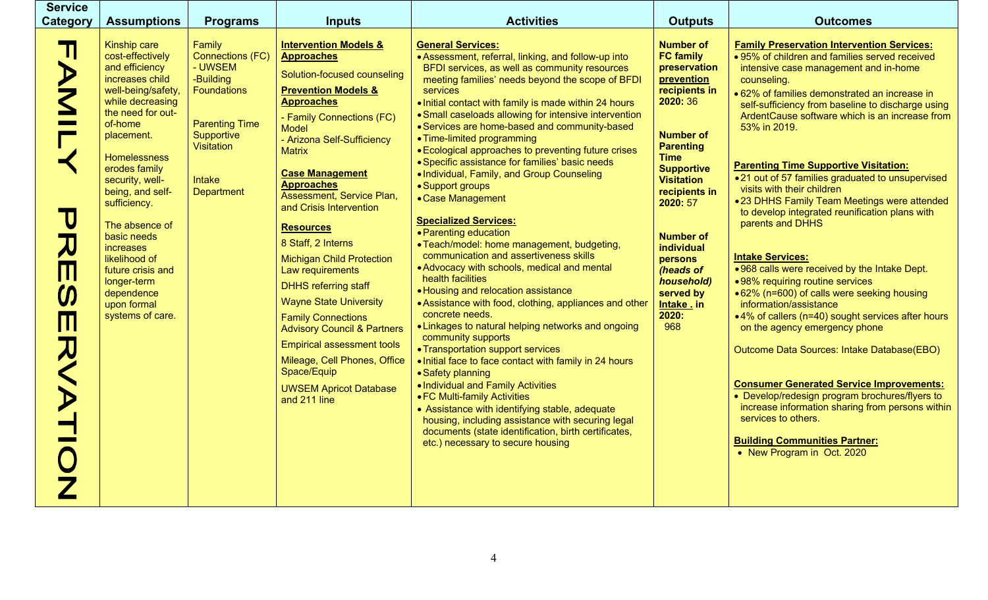| <b>Service</b><br><b>Category</b> | <b>Assumptions</b>                                                                                                                                                                                                                                                                                                                                                                                                             | <b>Programs</b>                                                                                                                                                     | <b>Inputs</b>                                                                                                                                                                                                                                                                                                                                                                                                                                                                                                                                                                                                                                                                                                                | <b>Activities</b>                                                                                                                                                                                                                                                                                                                                                                                                                                                                                                                                                                                                                                                                                                                                                                                                                                                                                                                                                                                                                                                                                                                                                                                                                                                                                                                                                                                                            | <b>Outputs</b>                                                                                                                                                                                                                                                                                                                                           | <b>Outcomes</b>                                                                                                                                                                                                                                                                                                                                                                                                                                                                                                                                                                                                                                                                                                                                                                                                                                                                                                                                                                                                                                                                                                                                                             |
|-----------------------------------|--------------------------------------------------------------------------------------------------------------------------------------------------------------------------------------------------------------------------------------------------------------------------------------------------------------------------------------------------------------------------------------------------------------------------------|---------------------------------------------------------------------------------------------------------------------------------------------------------------------|------------------------------------------------------------------------------------------------------------------------------------------------------------------------------------------------------------------------------------------------------------------------------------------------------------------------------------------------------------------------------------------------------------------------------------------------------------------------------------------------------------------------------------------------------------------------------------------------------------------------------------------------------------------------------------------------------------------------------|------------------------------------------------------------------------------------------------------------------------------------------------------------------------------------------------------------------------------------------------------------------------------------------------------------------------------------------------------------------------------------------------------------------------------------------------------------------------------------------------------------------------------------------------------------------------------------------------------------------------------------------------------------------------------------------------------------------------------------------------------------------------------------------------------------------------------------------------------------------------------------------------------------------------------------------------------------------------------------------------------------------------------------------------------------------------------------------------------------------------------------------------------------------------------------------------------------------------------------------------------------------------------------------------------------------------------------------------------------------------------------------------------------------------------|----------------------------------------------------------------------------------------------------------------------------------------------------------------------------------------------------------------------------------------------------------------------------------------------------------------------------------------------------------|-----------------------------------------------------------------------------------------------------------------------------------------------------------------------------------------------------------------------------------------------------------------------------------------------------------------------------------------------------------------------------------------------------------------------------------------------------------------------------------------------------------------------------------------------------------------------------------------------------------------------------------------------------------------------------------------------------------------------------------------------------------------------------------------------------------------------------------------------------------------------------------------------------------------------------------------------------------------------------------------------------------------------------------------------------------------------------------------------------------------------------------------------------------------------------|
|                                   | <b>Kinship care</b><br>cost-effectively<br>and efficiency<br>increases child<br>well-being/safety,<br>while decreasing<br>the need for out-<br>of-home<br>placement.<br><b>Homelessness</b><br>erodes family<br>security, well-<br>being, and self-<br>sufficiency.<br>The absence of<br>basic needs<br><i>increases</i><br>likelihood of<br>future crisis and<br>longer-term<br>dependence<br>upon formal<br>systems of care. | Family<br><b>Connections (FC)</b><br>- UWSEM<br>-Building<br><b>Foundations</b><br><b>Parenting Time</b><br>Supportive<br>Visitation<br>Intake<br><b>Department</b> | <b>Intervention Models &amp;</b><br><b>Approaches</b><br>Solution-focused counseling<br><b>Prevention Models &amp;</b><br><b>Approaches</b><br>- Family Connections (FC)<br><b>Model</b><br>- Arizona Self-Sufficiency<br><b>Matrix</b><br><b>Case Management</b><br><b>Approaches</b><br>Assessment, Service Plan,<br>and Crisis Intervention<br><b>Resources</b><br>8 Staff, 2 Interns<br><b>Michigan Child Protection</b><br>Law requirements<br><b>DHHS referring staff</b><br><b>Wayne State University</b><br><b>Family Connections</b><br><b>Advisory Council &amp; Partners</b><br><b>Empirical assessment tools</b><br>Mileage, Cell Phones, Office<br>Space/Equip<br><b>UWSEM Apricot Database</b><br>and 211 line | <b>General Services:</b><br>• Assessment, referral, linking, and follow-up into<br>BFDI services, as well as community resources<br>meeting families' needs beyond the scope of BFDI<br><b>services</b><br>. Initial contact with family is made within 24 hours<br>• Small caseloads allowing for intensive intervention<br>• Services are home-based and community-based<br>• Time-limited programming<br>• Ecological approaches to preventing future crises<br>· Specific assistance for families' basic needs<br>. Individual, Family, and Group Counseling<br>• Support groups<br>• Case Management<br><b>Specialized Services:</b><br>• Parenting education<br>• Teach/model: home management, budgeting,<br>communication and assertiveness skills<br>• Advocacy with schools, medical and mental<br>health facilities<br>• Housing and relocation assistance<br>• Assistance with food, clothing, appliances and other<br>concrete needs.<br>• Linkages to natural helping networks and ongoing<br>community supports<br>• Transportation support services<br>. Initial face to face contact with family in 24 hours<br>• Safety planning<br>. Individual and Family Activities<br>• FC Multi-family Activities<br>• Assistance with identifying stable, adequate<br>housing, including assistance with securing legal<br>documents (state identification, birth certificates,<br>etc.) necessary to secure housing | <b>Number of</b><br><b>FC family</b><br>preservation<br>prevention<br>recipients in<br>2020: 36<br><b>Number of</b><br><b>Parenting</b><br><b>Time</b><br><b>Supportive</b><br><b>Visitation</b><br>recipients in<br>2020: 57<br><b>Number of</b><br><b>individual</b><br>persons<br>(heads of<br>household)<br>served by<br>Intake . in<br>2020:<br>968 | <b>Family Preservation Intervention Services:</b><br>. 95% of children and families served received<br>intensive case management and in-home<br>counseling.<br>• 62% of families demonstrated an increase in<br>self-sufficiency from baseline to discharge using<br>ArdentCause software which is an increase from<br>53% in 2019.<br><b>Parenting Time Supportive Visitation:</b><br>•21 out of 57 families graduated to unsupervised<br>visits with their children<br>•23 DHHS Family Team Meetings were attended<br>to develop integrated reunification plans with<br>parents and DHHS<br><b>Intake Services:</b><br>.968 calls were received by the Intake Dept.<br>•98% requiring routine services<br>● 62% (n=600) of calls were seeking housing<br>information/assistance<br>•4% of callers (n=40) sought services after hours<br>on the agency emergency phone<br>Outcome Data Sources: Intake Database(EBO)<br><b>Consumer Generated Service Improvements:</b><br>• Develop/redesign program brochures/flyers to<br>increase information sharing from persons within<br>services to others.<br><b>Building Communities Partner:</b><br>• New Program in Oct. 2020 |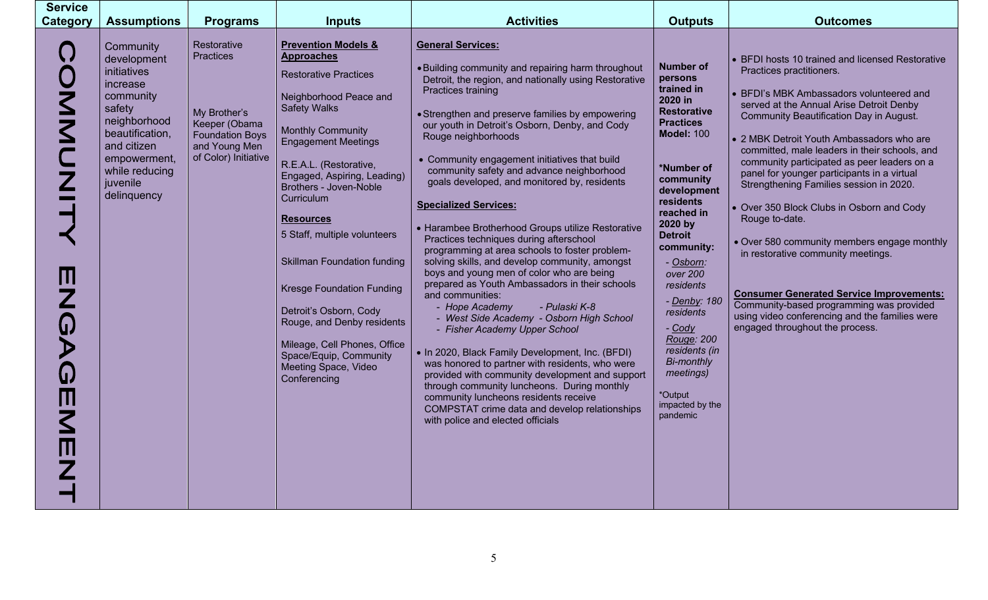| <b>Service</b><br><b>Category</b> | <b>Assumptions</b>                                                                                                                                                                        | <b>Programs</b>                                                                                                                     | <b>Inputs</b>                                                                                                                                                                                                                                                                                                                                                                                                                                                                                                                                                                           | <b>Activities</b>                                                                                                                                                                                                                                                                                                                                                                                                                                                                                                                                                                                                                                                                                                                                                                                                                                                                                                                                                                                                                                                                                                                                                                                                                                              | <b>Outputs</b>                                                                                                                                                                                                                                                                                                                                                                                                               | <b>Outcomes</b>                                                                                                                                                                                                                                                                                                                                                                                                                                                                                                                                                                                                                                                                                                                                                                                |
|-----------------------------------|-------------------------------------------------------------------------------------------------------------------------------------------------------------------------------------------|-------------------------------------------------------------------------------------------------------------------------------------|-----------------------------------------------------------------------------------------------------------------------------------------------------------------------------------------------------------------------------------------------------------------------------------------------------------------------------------------------------------------------------------------------------------------------------------------------------------------------------------------------------------------------------------------------------------------------------------------|----------------------------------------------------------------------------------------------------------------------------------------------------------------------------------------------------------------------------------------------------------------------------------------------------------------------------------------------------------------------------------------------------------------------------------------------------------------------------------------------------------------------------------------------------------------------------------------------------------------------------------------------------------------------------------------------------------------------------------------------------------------------------------------------------------------------------------------------------------------------------------------------------------------------------------------------------------------------------------------------------------------------------------------------------------------------------------------------------------------------------------------------------------------------------------------------------------------------------------------------------------------|------------------------------------------------------------------------------------------------------------------------------------------------------------------------------------------------------------------------------------------------------------------------------------------------------------------------------------------------------------------------------------------------------------------------------|------------------------------------------------------------------------------------------------------------------------------------------------------------------------------------------------------------------------------------------------------------------------------------------------------------------------------------------------------------------------------------------------------------------------------------------------------------------------------------------------------------------------------------------------------------------------------------------------------------------------------------------------------------------------------------------------------------------------------------------------------------------------------------------------|
|                                   | Community<br>development<br>initiatives<br>increase<br>community<br>safety<br>neighborhood<br>beautification,<br>and citizen<br>empowerment,<br>while reducing<br>juvenile<br>delinquency | Restorative<br><b>Practices</b><br>My Brother's<br>Keeper (Obama<br><b>Foundation Boys</b><br>and Young Men<br>of Color) Initiative | <b>Prevention Models &amp;</b><br><b>Approaches</b><br><b>Restorative Practices</b><br>Neighborhood Peace and<br><b>Safety Walks</b><br><b>Monthly Community</b><br><b>Engagement Meetings</b><br>R.E.A.L. (Restorative,<br>Engaged, Aspiring, Leading)<br>Brothers - Joven-Noble<br>Curriculum<br><b>Resources</b><br>5 Staff, multiple volunteers<br><b>Skillman Foundation funding</b><br><b>Kresge Foundation Funding</b><br>Detroit's Osborn, Cody<br>Rouge, and Denby residents<br>Mileage, Cell Phones, Office<br>Space/Equip, Community<br>Meeting Space, Video<br>Conferencing | <b>General Services:</b><br>. Building community and repairing harm throughout<br>Detroit, the region, and nationally using Restorative<br><b>Practices training</b><br>• Strengthen and preserve families by empowering<br>our youth in Detroit's Osborn, Denby, and Cody<br>Rouge neighborhoods<br>• Community engagement initiatives that build<br>community safety and advance neighborhood<br>goals developed, and monitored by, residents<br><b>Specialized Services:</b><br>• Harambee Brotherhood Groups utilize Restorative<br>Practices techniques during afterschool<br>programming at area schools to foster problem-<br>solving skills, and develop community, amongst<br>boys and young men of color who are being<br>prepared as Youth Ambassadors in their schools<br>and communities:<br>- Hope Academy<br>- Pulaski K-8<br>- West Side Academy - Osborn High School<br>- Fisher Academy Upper School<br>• In 2020, Black Family Development, Inc. (BFDI)<br>was honored to partner with residents, who were<br>provided with community development and support<br>through community luncheons. During monthly<br>community luncheons residents receive<br>COMPSTAT crime data and develop relationships<br>with police and elected officials | <b>Number of</b><br>persons<br>trained in<br>2020 in<br><b>Restorative</b><br><b>Practices</b><br><b>Model: 100</b><br>*Number of<br>community<br>development<br>residents<br>reached in<br>2020 by<br><b>Detroit</b><br>community:<br>- Osborn:<br>over 200<br>residents<br>- Denby: 180<br>residents<br>$-Cody$<br>Rouge: 200<br>residents (in<br><b>Bi-monthly</b><br>meetings)<br>*Output<br>impacted by the<br>pandemic | • BFDI hosts 10 trained and licensed Restorative<br>Practices practitioners.<br>• BFDI's MBK Ambassadors volunteered and<br>served at the Annual Arise Detroit Denby<br>Community Beautification Day in August.<br>• 2 MBK Detroit Youth Ambassadors who are<br>committed, male leaders in their schools, and<br>community participated as peer leaders on a<br>panel for younger participants in a virtual<br>Strengthening Families session in 2020.<br>• Over 350 Block Clubs in Osborn and Cody<br>Rouge to-date.<br>. Over 580 community members engage monthly<br>in restorative community meetings.<br><b>Consumer Generated Service Improvements:</b><br>Community-based programming was provided<br>using video conferencing and the families were<br>engaged throughout the process. |